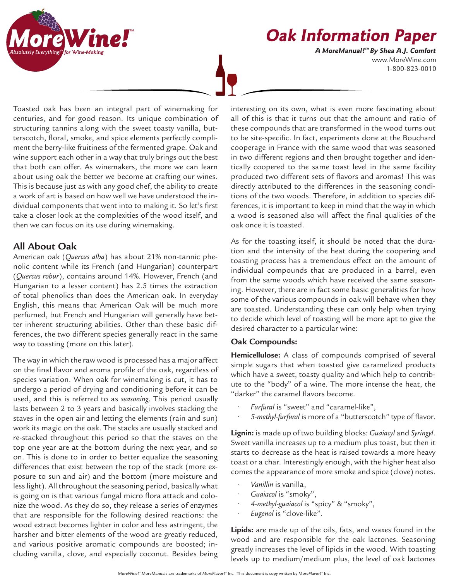

# **Oak Information Paper**

www.MoreWine.com 1-800-823-0010 **A MoreManual! ™ By Shea A.J. Comfort**

Toasted oak has been an integral part of winemaking for centuries, and for good reason. Its unique combination of structuring tannins along with the sweet toasty vanilla, butterscotch, floral, smoke, and spice elements perfectly compliment the berry-like fruitiness of the fermented grape. Oak and wine support each other in a way that truly brings out the best that both can offer. As winemakers, the more we can learn about using oak the better we become at crafting our wines. This is because just as with any good chef, the ability to create a work of art is based on how well we have understood the individual components that went into to making it. So let's first take a closer look at the complexities of the wood itself, and then we can focus on its use during winemaking.

# **All About Oak**

American oak (*Quercus alba*) has about 21% non-tannic phenolic content while its French (and Hungarian) counterpart (*Quercus robur*), contains around 14%. However, French (and Hungarian to a lesser content) has 2.5 times the extraction of total phenolics than does the American oak. In everyday English, this means that American Oak will be much more perfumed, but French and Hungarian will generally have better inherent structuring abilities. Other than these basic differences, the two different species generally react in the same way to toasting (more on this later).

The way in which the raw wood is processed has a major affect on the final flavor and aroma profile of the oak, regardless of species variation. When oak for winemaking is cut, it has to undergo a period of drying and conditioning before it can be used, and this is referred to as *seasoning*. This period usually lasts between 2 to 3 years and basically involves stacking the staves in the open air and letting the elements (rain and sun) work its magic on the oak. The stacks are usually stacked and re-stacked throughout this period so that the staves on the top one year are at the bottom during the next year, and so on. This is done to in order to better equalize the seasoning differences that exist between the top of the stack (more exposure to sun and air) and the bottom (more moisture and less light). All throughout the seasoning period, basically what is going on is that various fungal micro flora attack and colonize the wood. As they do so, they release a series of enzymes that are responsible for the following desired reactions: the wood extract becomes lighter in color and less astringent, the harsher and bitter elements of the wood are greatly reduced, and various positive aromatic compounds are boosted; including vanilla, clove, and especially coconut. Besides being

interesting on its own, what is even more fascinating about all of this is that it turns out that the amount and ratio of these compounds that are transformed in the wood turns out to be site-specific. In fact, experiments done at the Bouchard cooperage in France with the same wood that was seasoned in two different regions and then brought together and identically coopered to the same toast level in the same facility produced two different sets of flavors and aromas! This was directly attributed to the differences in the seasoning conditions of the two woods. Therefore, in addition to species differences, it is important to keep in mind that the way in which a wood is seasoned also will affect the final qualities of the oak once it is toasted.

As for the toasting itself, it should be noted that the duration and the intensity of the heat during the coopering and toasting process has a tremendous effect on the amount of individual compounds that are produced in a barrel, even from the same woods which have received the same seasoning. However, there are in fact some basic generalities for how some of the various compounds in oak will behave when they are toasted. Understanding these can only help when trying to decide which level of toasting will be more apt to give the desired character to a particular wine:

## **Oak Compounds:**

**Hemicellulose:** A class of compounds comprised of several simple sugars that when toasted give caramelized products which have a sweet, toasty quality and which help to contribute to the "body" of a wine. The more intense the heat, the "darker" the caramel flavors become.

- *• Furfural* is "sweet" and "caramel-like",
- *• 5-methyl-furfural* is more of a "butterscotch" type of flavor.

**Lignin:** is made up of two building blocks: *Guaiacyl* and *Syringyl*. Sweet vanilla increases up to a medium plus toast, but then it starts to decrease as the heat is raised towards a more heavy toast or a char. Interestingly enough, with the higher heat also comes the appearance of more smoke and spice (clove) notes.

- *• Vanillin* is vanilla,
- *• Guaiacol* is "smoky",
- *• 4-methyl-guaiacol* is "spicy" & "smoky",
- *• Eugenol* is "clove-like".

**Lipids:** are made up of the oils, fats, and waxes found in the wood and are responsible for the oak lactones. Seasoning greatly increases the level of lipids in the wood. With toasting levels up to medium/medium plus, the level of oak lactones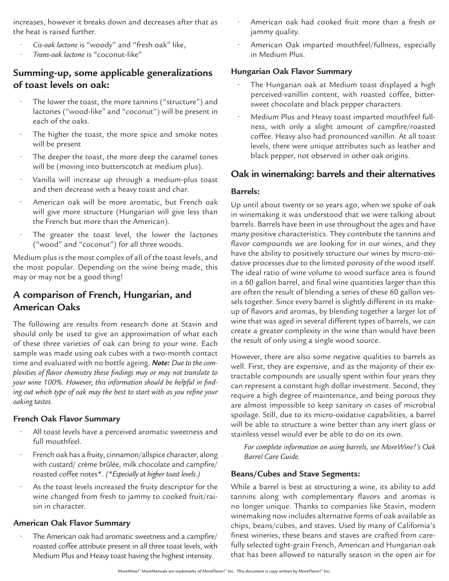increases, however it breaks down and decreases after that as the heat is raised further.

- *• Cis-oak lactone* is "woody" and "fresh oak" like,
- *• Trans-oak lactone* is "coconut-like"

# **Summing-up, some applicable generalizations of toast levels on oak:**

- The lower the toast, the more tannins ("structure") and lactones ("wood-like" and "coconut") will be present in each of the oaks.
- The higher the toast, the more spice and smoke notes will be present
- The deeper the toast, the more deep the caramel tones will be (moving into butterscotch at medium plus).
- Vanilla will increase up through a medium-plus toast and then decrease with a heavy toast and char.
- American oak will be more aromatic, but French oak will give more structure (Hungarian will give less than the French but more than the American).
- The greater the toast level, the lower the lactones ("wood" and "coconut") for all three woods.

Medium plus is the most complex of all of the toast levels, and the most popular. Depending on the wine being made, this may or may not be a good thing!

# **A comparison of French, Hungarian, and American Oaks**

The following are results from research done at Stavin and should only be used to give an approximation of what each of these three varieties of oak can bring to your wine. Each sample was made using oak cubes with a two-month contact time and evaluated with no bottle ageing. *Note: Due to the complexities of flavor chemistry these findings may or may not translate to your wine 100%. However, this information should be helpful in finding out which type of oak may the best to start with as you refine your oaking tastes.*

### **French Oak Flavor Summary**

- All toast levels have a perceived aromatic sweetness and full mouthfeel.
- French oak has a fruity, cinnamon/allspice character, along with custard/ crème brûlée, milk chocolate and campfire/ roasted coffee notes\*. *(\*Especially at higher toast levels.)*
- As the toast levels increased the fruity descriptor for the wine changed from fresh to jammy to cooked fruit/raisin in character.

### **American Oak Flavor Summary**

• The American oak had aromatic sweetness and a campfire/ roasted coffee attribute present in all three toast levels, with Medium Plus and Heavy toast having the highest intensity.

- American oak had cooked fruit more than a fresh or jammy quality.
- American Oak imparted mouthfeel/fullness, especially in Medium Plus.

## **Hungarian Oak Flavor Summary**

- The Hungarian oak at Medium toast displayed a high perceived-vanillin content, with roasted coffee, bittersweet chocolate and black pepper characters.
- Medium Plus and Heavy toast imparted mouthfeel fullness, with only a slight amount of campfire/roasted coffee. Heavy also had pronounced vanillin. At all toast levels, there were unique attributes such as leather and black pepper, not observed in other oak origins.

# **Oak in winemaking: barrels and their alternatives**

### **Barrels:**

Up until about twenty or so years ago, when we spoke of oak in winemaking it was understood that we were talking about barrels. Barrels have been in use throughout the ages and have many positive characteristics. They contribute the tannins and flavor compounds we are looking for in our wines, and they have the ability to positively structure our wines by micro-oxidative processes due to the limited porosity of the wood itself. The ideal ratio of wine volume to wood surface area is found in a 60 gallon barrel, and final wine quantities larger than this are often the result of blending a series of these 60 gallon vessels together. Since every barrel is slightly different in its makeup of flavors and aromas, by blending together a larger lot of wine that was aged in several different types of barrels, we can create a greater complexity in the wine than would have been the result of only using a single wood source.

However, there are also some negative qualities to barrels as well. First, they are expensive, and as the majority of their extractable compounds are usually spent within four years they can represent a constant high dollar investment. Second, they require a high degree of maintenance, and being porous they are almost impossible to keep sanitary in cases of microbial spoilage. Still, due to its micro-oxidative capabilities, a barrel will be able to structure a wine better than any inert glass or stainless vessel would ever be able to do on its own.

*For complete information on using barrels, see MoreWine!'s Oak Barrel Care Guide.*

## **Beans/Cubes and Stave Segments:**

While a barrel is best at structuring a wine, its ability to add tannins along with complementary flavors and aromas is no longer unique. Thanks to companies like Stavin, modern winemaking now includes alternative forms of oak available as chips, beans/cubes, and staves. Used by many of California's finest wineries, these beans and staves are crafted from carefully selected tight-grain French, American and Hungarian oak that has been allowed to naturally season in the open air for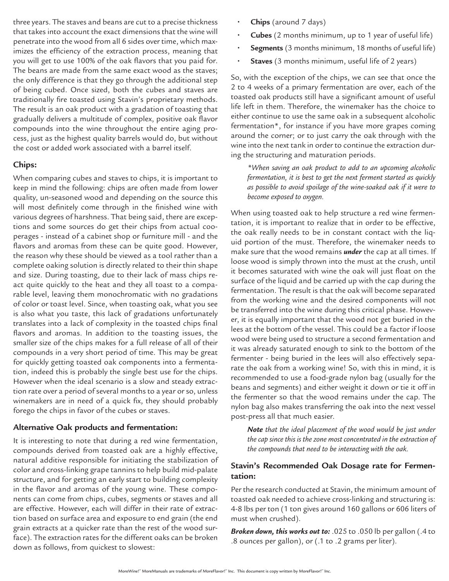three years. The staves and beans are cut to a precise thickness that takes into account the exact dimensions that the wine will penetrate into the wood from all 6 sides over time, which maximizes the efficiency of the extraction process, meaning that you will get to use 100% of the oak flavors that you paid for. The beans are made from the same exact wood as the staves; the only difference is that they go through the additional step of being cubed. Once sized, both the cubes and staves are traditionally fire toasted using Stavin's proprietary methods. The result is an oak product with a gradation of toasting that gradually delivers a multitude of complex, positive oak flavor compounds into the wine throughout the entire aging process, just as the highest quality barrels would do, but without the cost or added work associated with a barrel itself.

### **Chips:**

When comparing cubes and staves to chips, it is important to keep in mind the following: chips are often made from lower quality, un-seasoned wood and depending on the source this will most definitely come through in the finished wine with various degrees of harshness. That being said, there are exceptions and some sources do get their chips from actual cooperages - instead of a cabinet shop or furniture mill - and the flavors and aromas from these can be quite good. However, the reason why these should be viewed as a tool rather than a complete oaking solution is directly related to their thin shape and size. During toasting, due to their lack of mass chips react quite quickly to the heat and they all toast to a comparable level, leaving them monochromatic with no gradations of color or toast level. Since, when toasting oak, what you see is also what you taste, this lack of gradations unfortunately translates into a lack of complexity in the toasted chips final flavors and aromas. In addition to the toasting issues, the smaller size of the chips makes for a full release of all of their compounds in a very short period of time. This may be great for quickly getting toasted oak components into a fermentation, indeed this is probably the single best use for the chips. However when the ideal scenario is a slow and steady extraction rate over a period of several months to a year or so, unless winemakers are in need of a quick fix, they should probably forego the chips in favor of the cubes or staves.

#### **Alternative Oak products and fermentation:**

It is interesting to note that during a red wine fermentation, compounds derived from toasted oak are a highly effective, natural additive responsible for initiating the stabilization of color and cross-linking grape tannins to help build mid-palate structure, and for getting an early start to building complexity in the flavor and aromas of the young wine. These components can come from chips, cubes, segments or staves and all are effective. However, each will differ in their rate of extraction based on surface area and exposure to end grain (the end grain extracts at a quicker rate than the rest of the wood surface). The extraction rates for the different oaks can be broken down as follows, from quickest to slowest:

- **• Chips** (around 7 days)
- **• Cubes** (2 months minimum, up to 1 year of useful life)
- **• Segments** (3 months minimum, 18 months of useful life)
- **• Staves** (3 months minimum, useful life of 2 years)

So, with the exception of the chips, we can see that once the 2 to 4 weeks of a primary fermentation are over, each of the toasted oak products still have a significant amount of useful life left in them. Therefore, the winemaker has the choice to either continue to use the same oak in a subsequent alcoholic fermentation\*, for instance if you have more grapes coming around the corner; or to just carry the oak through with the wine into the next tank in order to continue the extraction during the structuring and maturation periods.

*\*When saving an oak product to add to an upcoming alcoholic fermentation, it is best to get the next ferment started as quickly as possible to avoid spoilage of the wine-soaked oak if it were to become exposed to oxygen.*

When using toasted oak to help structure a red wine fermentation, it is important to realize that in order to be effective, the oak really needs to be in constant contact with the liquid portion of the must. Therefore, the winemaker needs to make sure that the wood remains *under* the cap at all times. If loose wood is simply thrown into the must at the crush, until it becomes saturated with wine the oak will just float on the surface of the liquid and be carried up with the cap during the fermentation. The result is that the oak will become separated from the working wine and the desired components will not be transferred into the wine during this critical phase. However, it is equally important that the wood not get buried in the lees at the bottom of the vessel. This could be a factor if loose wood were being used to structure a second fermentation and it was already saturated enough to sink to the bottom of the fermenter - being buried in the lees will also effectively separate the oak from a working wine! So, with this in mind, it is recommended to use a food-grade nylon bag (usually for the beans and segments) and either weight it down or tie it off in the fermenter so that the wood remains under the cap. The nylon bag also makes transferring the oak into the next vessel post-press all that much easier.

*Note that the ideal placement of the wood would be just under the cap since this is the zone most concentrated in the extraction of the compounds that need to be interacting with the oak.*

## **Stavin's Recommended Oak Dosage rate for Fermentation:**

Per the research conducted at Stavin, the minimum amount of toasted oak needed to achieve cross-linking and structuring is: 4-8 lbs per ton (1 ton gives around 160 gallons or 606 liters of must when crushed).

*Broken down, this works out to:* .025 to .050 lb per gallon (.4 to .8 ounces per gallon), or (.1 to .2 grams per liter).